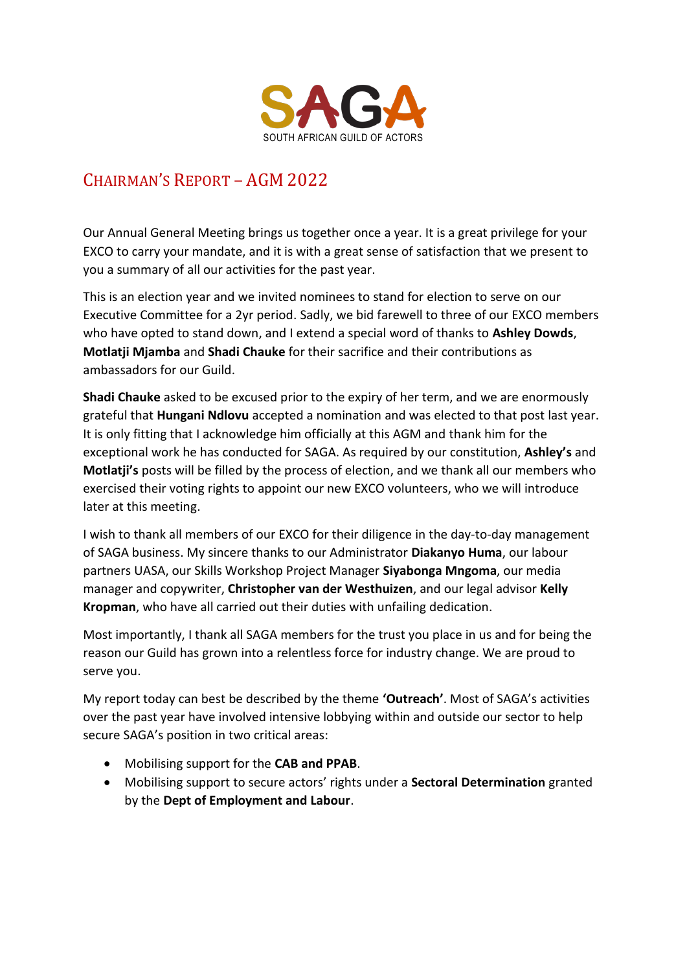

# CHAIRMAN'S REPORT – AGM 2022

Our Annual General Meeting brings us together once a year. It is a great privilege for your EXCO to carry your mandate, and it is with a great sense of satisfaction that we present to you a summary of all our activities for the past year.

This is an election year and we invited nominees to stand for election to serve on our Executive Committee for a 2yr period. Sadly, we bid farewell to three of our EXCO members who have opted to stand down, and I extend a special word of thanks to **Ashley Dowds**, **Motlatji Mjamba** and **Shadi Chauke** for their sacrifice and their contributions as ambassadors for our Guild.

**Shadi Chauke** asked to be excused prior to the expiry of her term, and we are enormously grateful that **Hungani Ndlovu** accepted a nomination and was elected to that post last year. It is only fitting that I acknowledge him officially at this AGM and thank him for the exceptional work he has conducted for SAGA. As required by our constitution, **Ashley's** and **Motlatji's** posts will be filled by the process of election, and we thank all our members who exercised their voting rights to appoint our new EXCO volunteers, who we will introduce later at this meeting.

I wish to thank all members of our EXCO for their diligence in the day-to-day management of SAGA business. My sincere thanks to our Administrator **Diakanyo Huma**, our labour partners UASA, our Skills Workshop Project Manager **Siyabonga Mngoma**, our media manager and copywriter, **Christopher van der Westhuizen**, and our legal advisor **Kelly Kropman**, who have all carried out their duties with unfailing dedication.

Most importantly, I thank all SAGA members for the trust you place in us and for being the reason our Guild has grown into a relentless force for industry change. We are proud to serve you.

My report today can best be described by the theme **'Outreach'**. Most of SAGA's activities over the past year have involved intensive lobbying within and outside our sector to help secure SAGA's position in two critical areas:

- Mobilising support for the **CAB and PPAB**.
- Mobilising support to secure actors' rights under a **Sectoral Determination** granted by the **Dept of Employment and Labour**.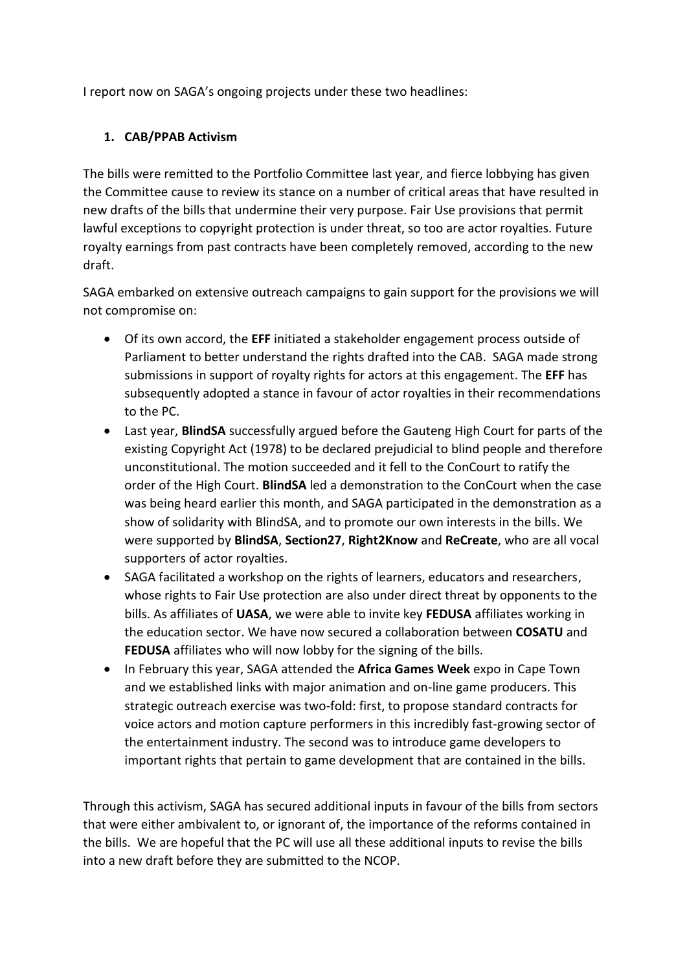I report now on SAGA's ongoing projects under these two headlines:

### **1. CAB/PPAB Activism**

The bills were remitted to the Portfolio Committee last year, and fierce lobbying has given the Committee cause to review its stance on a number of critical areas that have resulted in new drafts of the bills that undermine their very purpose. Fair Use provisions that permit lawful exceptions to copyright protection is under threat, so too are actor royalties. Future royalty earnings from past contracts have been completely removed, according to the new draft.

SAGA embarked on extensive outreach campaigns to gain support for the provisions we will not compromise on:

- Of its own accord, the **EFF** initiated a stakeholder engagement process outside of Parliament to better understand the rights drafted into the CAB. SAGA made strong submissions in support of royalty rights for actors at this engagement. The **EFF** has subsequently adopted a stance in favour of actor royalties in their recommendations to the PC.
- Last year, **BlindSA** successfully argued before the Gauteng High Court for parts of the existing Copyright Act (1978) to be declared prejudicial to blind people and therefore unconstitutional. The motion succeeded and it fell to the ConCourt to ratify the order of the High Court. **BlindSA** led a demonstration to the ConCourt when the case was being heard earlier this month, and SAGA participated in the demonstration as a show of solidarity with BlindSA, and to promote our own interests in the bills. We were supported by **BlindSA**, **Section27**, **Right2Know** and **ReCreate**, who are all vocal supporters of actor royalties.
- SAGA facilitated a workshop on the rights of learners, educators and researchers, whose rights to Fair Use protection are also under direct threat by opponents to the bills. As affiliates of **UASA**, we were able to invite key **FEDUSA** affiliates working in the education sector. We have now secured a collaboration between **COSATU** and **FEDUSA** affiliates who will now lobby for the signing of the bills.
- In February this year, SAGA attended the **Africa Games Week** expo in Cape Town and we established links with major animation and on-line game producers. This strategic outreach exercise was two-fold: first, to propose standard contracts for voice actors and motion capture performers in this incredibly fast-growing sector of the entertainment industry. The second was to introduce game developers to important rights that pertain to game development that are contained in the bills.

Through this activism, SAGA has secured additional inputs in favour of the bills from sectors that were either ambivalent to, or ignorant of, the importance of the reforms contained in the bills. We are hopeful that the PC will use all these additional inputs to revise the bills into a new draft before they are submitted to the NCOP.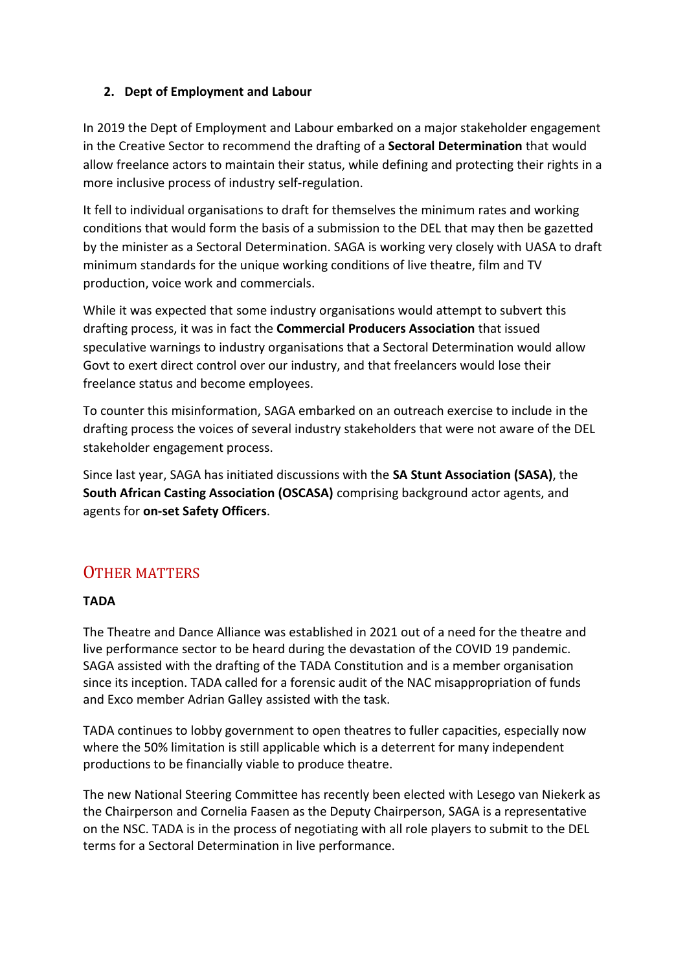### **2. Dept of Employment and Labour**

In 2019 the Dept of Employment and Labour embarked on a major stakeholder engagement in the Creative Sector to recommend the drafting of a **Sectoral Determination** that would allow freelance actors to maintain their status, while defining and protecting their rights in a more inclusive process of industry self-regulation.

It fell to individual organisations to draft for themselves the minimum rates and working conditions that would form the basis of a submission to the DEL that may then be gazetted by the minister as a Sectoral Determination. SAGA is working very closely with UASA to draft minimum standards for the unique working conditions of live theatre, film and TV production, voice work and commercials.

While it was expected that some industry organisations would attempt to subvert this drafting process, it was in fact the **Commercial Producers Association** that issued speculative warnings to industry organisations that a Sectoral Determination would allow Govt to exert direct control over our industry, and that freelancers would lose their freelance status and become employees.

To counter this misinformation, SAGA embarked on an outreach exercise to include in the drafting process the voices of several industry stakeholders that were not aware of the DEL stakeholder engagement process.

Since last year, SAGA has initiated discussions with the **SA Stunt Association (SASA)**, the **South African Casting Association (OSCASA)** comprising background actor agents, and agents for **on-set Safety Officers**.

## OTHER MATTERS

## **TADA**

The Theatre and Dance Alliance was established in 2021 out of a need for the theatre and live performance sector to be heard during the devastation of the COVID 19 pandemic. SAGA assisted with the drafting of the TADA Constitution and is a member organisation since its inception. TADA called for a forensic audit of the NAC misappropriation of funds and Exco member Adrian Galley assisted with the task.

TADA continues to lobby government to open theatres to fuller capacities, especially now where the 50% limitation is still applicable which is a deterrent for many independent productions to be financially viable to produce theatre.

The new National Steering Committee has recently been elected with Lesego van Niekerk as the Chairperson and Cornelia Faasen as the Deputy Chairperson, SAGA is a representative on the NSC. TADA is in the process of negotiating with all role players to submit to the DEL terms for a Sectoral Determination in live performance.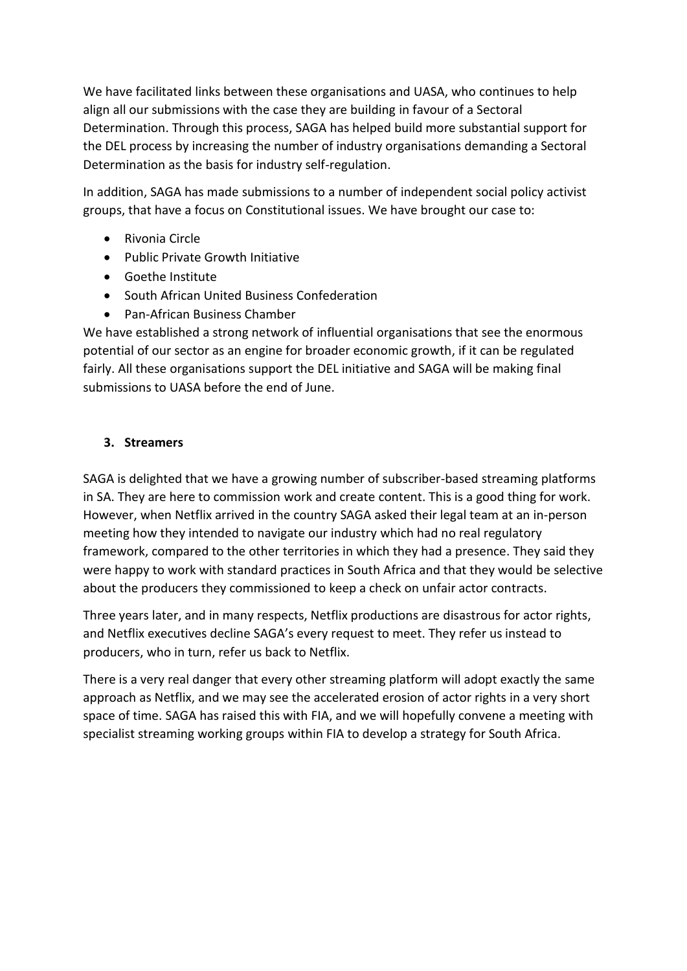We have facilitated links between these organisations and UASA, who continues to help align all our submissions with the case they are building in favour of a Sectoral Determination. Through this process, SAGA has helped build more substantial support for the DEL process by increasing the number of industry organisations demanding a Sectoral Determination as the basis for industry self-regulation.

In addition, SAGA has made submissions to a number of independent social policy activist groups, that have a focus on Constitutional issues. We have brought our case to:

- Rivonia Circle
- Public Private Growth Initiative
- Goethe Institute
- South African United Business Confederation
- Pan-African Business Chamber

We have established a strong network of influential organisations that see the enormous potential of our sector as an engine for broader economic growth, if it can be regulated fairly. All these organisations support the DEL initiative and SAGA will be making final submissions to UASA before the end of June.

## **3. Streamers**

SAGA is delighted that we have a growing number of subscriber-based streaming platforms in SA. They are here to commission work and create content. This is a good thing for work. However, when Netflix arrived in the country SAGA asked their legal team at an in-person meeting how they intended to navigate our industry which had no real regulatory framework, compared to the other territories in which they had a presence. They said they were happy to work with standard practices in South Africa and that they would be selective about the producers they commissioned to keep a check on unfair actor contracts.

Three years later, and in many respects, Netflix productions are disastrous for actor rights, and Netflix executives decline SAGA's every request to meet. They refer us instead to producers, who in turn, refer us back to Netflix.

There is a very real danger that every other streaming platform will adopt exactly the same approach as Netflix, and we may see the accelerated erosion of actor rights in a very short space of time. SAGA has raised this with FIA, and we will hopefully convene a meeting with specialist streaming working groups within FIA to develop a strategy for South Africa.